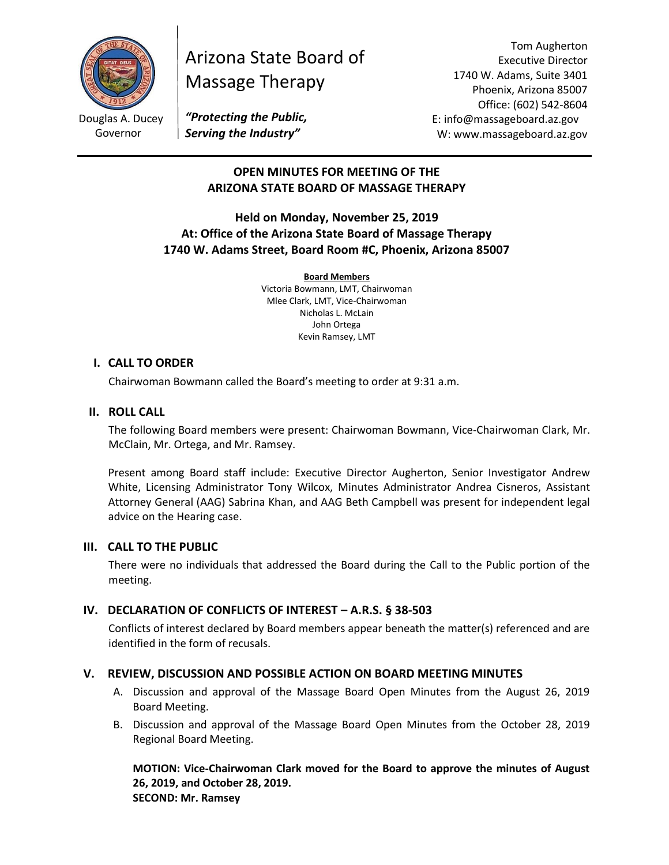

Governor

# Arizona State Board of Massage Therapy

Tom Augherton Executive Director 1740 W. Adams, Suite 3401 Phoenix, Arizona 85007 Office: (602) 542-8604 E: info@massageboard.az.gov W: www.massageboard.az.gov

*"Protecting the Public, Serving the Industry"*

# **OPEN MINUTES FOR MEETING OF THE ARIZONA STATE BOARD OF MASSAGE THERAPY**

# **Held on Monday, November 25, 2019 At: Office of the Arizona State Board of Massage Therapy 1740 W. Adams Street, Board Room #C, Phoenix, Arizona 85007**

**Board Members**

Victoria Bowmann, LMT, Chairwoman Mlee Clark, LMT, Vice-Chairwoman Nicholas L. McLain John Ortega Kevin Ramsey, LMT

# **I. CALL TO ORDER**

Chairwoman Bowmann called the Board's meeting to order at 9:31 a.m.

# **II. ROLL CALL**

The following Board members were present: Chairwoman Bowmann, Vice-Chairwoman Clark, Mr. McClain, Mr. Ortega, and Mr. Ramsey.

Present among Board staff include: Executive Director Augherton, Senior Investigator Andrew White, Licensing Administrator Tony Wilcox, Minutes Administrator Andrea Cisneros, Assistant Attorney General (AAG) Sabrina Khan, and AAG Beth Campbell was present for independent legal advice on the Hearing case.

# **III. CALL TO THE PUBLIC**

There were no individuals that addressed the Board during the Call to the Public portion of the meeting.

# **IV. DECLARATION OF CONFLICTS OF INTEREST – A.R.S. § 38-503**

Conflicts of interest declared by Board members appear beneath the matter(s) referenced and are identified in the form of recusals.

# **V. REVIEW, DISCUSSION AND POSSIBLE ACTION ON BOARD MEETING MINUTES**

- A. Discussion and approval of the Massage Board Open Minutes from the August 26, 2019 Board Meeting.
- B. Discussion and approval of the Massage Board Open Minutes from the October 28, 2019 Regional Board Meeting.

**MOTION: Vice-Chairwoman Clark moved for the Board to approve the minutes of August 26, 2019, and October 28, 2019. SECOND: Mr. Ramsey**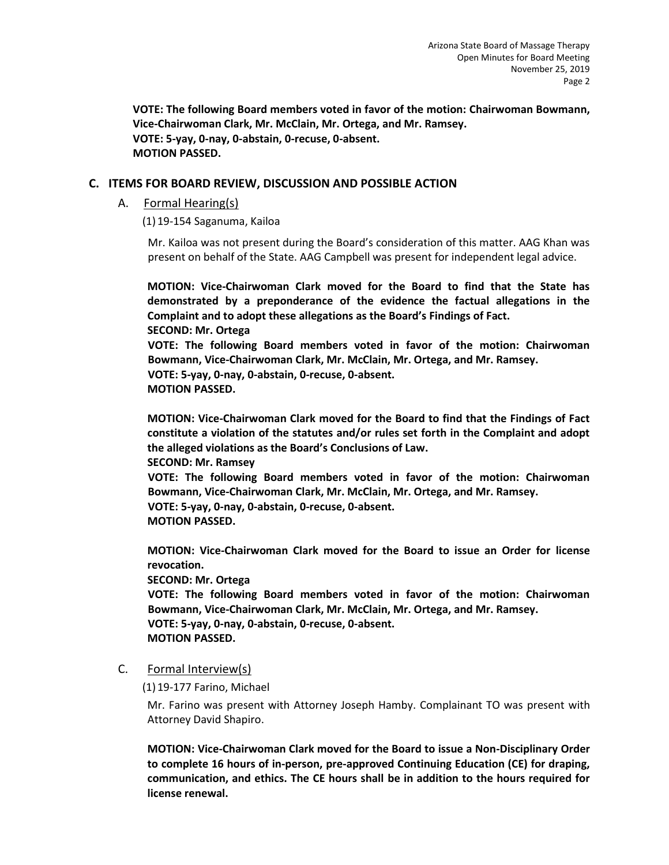**VOTE: The following Board members voted in favor of the motion: Chairwoman Bowmann, Vice-Chairwoman Clark, Mr. McClain, Mr. Ortega, and Mr. Ramsey. VOTE: 5-yay, 0-nay, 0-abstain, 0-recuse, 0-absent. MOTION PASSED.** 

## **C. ITEMS FOR BOARD REVIEW, DISCUSSION AND POSSIBLE ACTION**

A. Formal Hearing(s)

(1)19-154 Saganuma, Kailoa

Mr. Kailoa was not present during the Board's consideration of this matter. AAG Khan was present on behalf of the State. AAG Campbell was present for independent legal advice.

**MOTION: Vice-Chairwoman Clark moved for the Board to find that the State has demonstrated by a preponderance of the evidence the factual allegations in the Complaint and to adopt these allegations as the Board's Findings of Fact. SECOND: Mr. Ortega VOTE: The following Board members voted in favor of the motion: Chairwoman Bowmann, Vice-Chairwoman Clark, Mr. McClain, Mr. Ortega, and Mr. Ramsey. VOTE: 5-yay, 0-nay, 0-abstain, 0-recuse, 0-absent. MOTION PASSED.**

**MOTION: Vice-Chairwoman Clark moved for the Board to find that the Findings of Fact constitute a violation of the statutes and/or rules set forth in the Complaint and adopt the alleged violations as the Board's Conclusions of Law.** 

**SECOND: Mr. Ramsey** 

**VOTE: The following Board members voted in favor of the motion: Chairwoman Bowmann, Vice-Chairwoman Clark, Mr. McClain, Mr. Ortega, and Mr. Ramsey. VOTE: 5-yay, 0-nay, 0-abstain, 0-recuse, 0-absent. MOTION PASSED.**

**MOTION: Vice-Chairwoman Clark moved for the Board to issue an Order for license revocation.** 

**SECOND: Mr. Ortega** 

**VOTE: The following Board members voted in favor of the motion: Chairwoman Bowmann, Vice-Chairwoman Clark, Mr. McClain, Mr. Ortega, and Mr. Ramsey. VOTE: 5-yay, 0-nay, 0-abstain, 0-recuse, 0-absent. MOTION PASSED.**

C. Formal Interview(s)

(1)19-177 Farino, Michael

Mr. Farino was present with Attorney Joseph Hamby. Complainant TO was present with Attorney David Shapiro.

**MOTION: Vice-Chairwoman Clark moved for the Board to issue a Non-Disciplinary Order to complete 16 hours of in-person, pre-approved Continuing Education (CE) for draping, communication, and ethics. The CE hours shall be in addition to the hours required for license renewal.**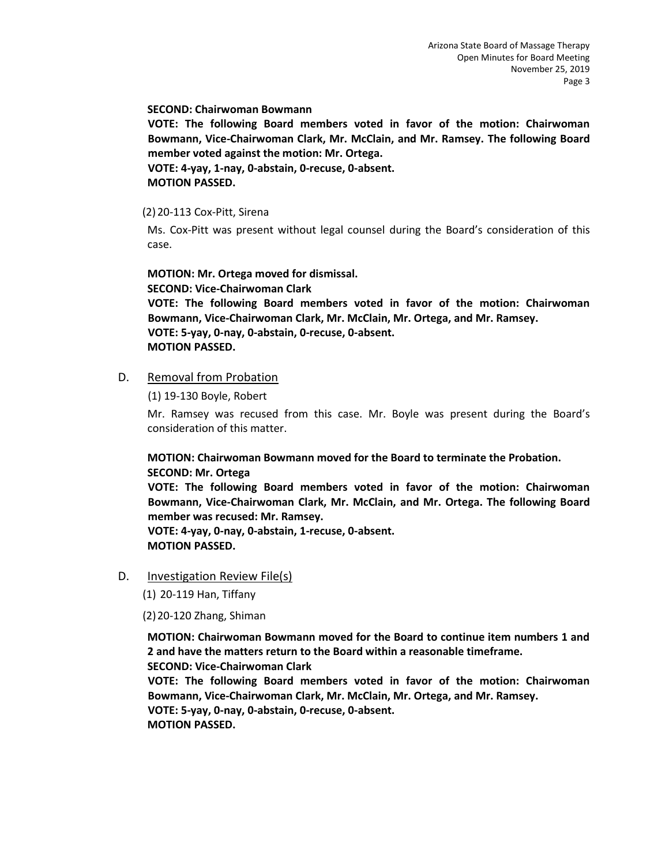**SECOND: Chairwoman Bowmann** 

**VOTE: The following Board members voted in favor of the motion: Chairwoman Bowmann, Vice-Chairwoman Clark, Mr. McClain, and Mr. Ramsey. The following Board member voted against the motion: Mr. Ortega.** 

**VOTE: 4-yay, 1-nay, 0-abstain, 0-recuse, 0-absent. MOTION PASSED.**

(2)20-113 Cox-Pitt, Sirena

Ms. Cox-Pitt was present without legal counsel during the Board's consideration of this case.

**MOTION: Mr. Ortega moved for dismissal. SECOND: Vice-Chairwoman Clark** 

**VOTE: The following Board members voted in favor of the motion: Chairwoman Bowmann, Vice-Chairwoman Clark, Mr. McClain, Mr. Ortega, and Mr. Ramsey. VOTE: 5-yay, 0-nay, 0-abstain, 0-recuse, 0-absent. MOTION PASSED.**

# D. Removal from Probation

(1) 19-130 Boyle, Robert

Mr. Ramsey was recused from this case. Mr. Boyle was present during the Board's consideration of this matter.

**MOTION: Chairwoman Bowmann moved for the Board to terminate the Probation. SECOND: Mr. Ortega** 

**VOTE: The following Board members voted in favor of the motion: Chairwoman Bowmann, Vice-Chairwoman Clark, Mr. McClain, and Mr. Ortega. The following Board member was recused: Mr. Ramsey.**

**VOTE: 4-yay, 0-nay, 0-abstain, 1-recuse, 0-absent. MOTION PASSED.**

D. Investigation Review File(s)

(1) 20-119 Han, Tiffany

(2)20-120 Zhang, Shiman

**MOTION: Chairwoman Bowmann moved for the Board to continue item numbers 1 and 2 and have the matters return to the Board within a reasonable timeframe. SECOND: Vice-Chairwoman Clark** 

**VOTE: The following Board members voted in favor of the motion: Chairwoman Bowmann, Vice-Chairwoman Clark, Mr. McClain, Mr. Ortega, and Mr. Ramsey. VOTE: 5-yay, 0-nay, 0-abstain, 0-recuse, 0-absent.** 

**MOTION PASSED.**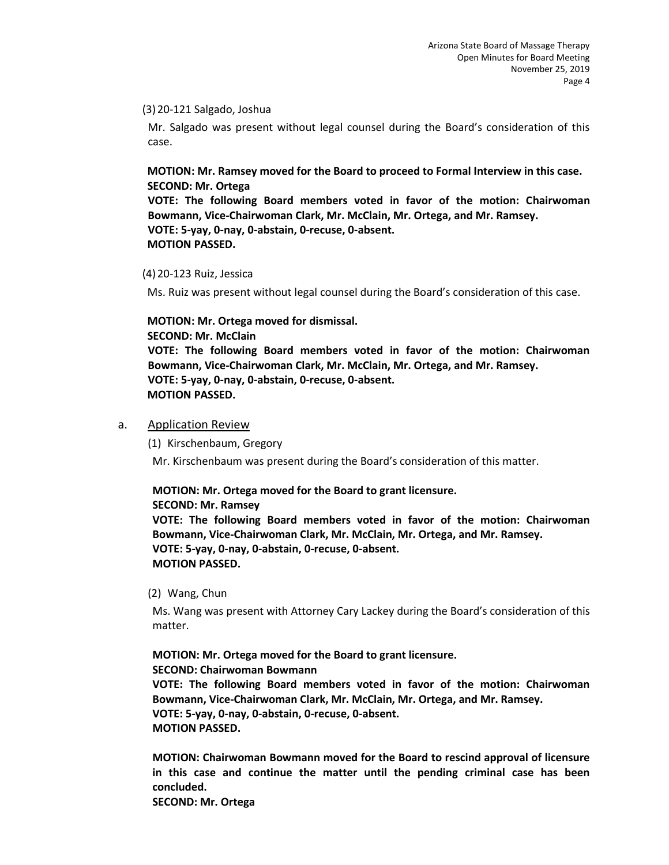#### (3)20-121 Salgado, Joshua

Mr. Salgado was present without legal counsel during the Board's consideration of this case.

## **MOTION: Mr. Ramsey moved for the Board to proceed to Formal Interview in this case. SECOND: Mr. Ortega**

**VOTE: The following Board members voted in favor of the motion: Chairwoman Bowmann, Vice-Chairwoman Clark, Mr. McClain, Mr. Ortega, and Mr. Ramsey. VOTE: 5-yay, 0-nay, 0-abstain, 0-recuse, 0-absent. MOTION PASSED.**

#### (4)20-123 Ruiz, Jessica

Ms. Ruiz was present without legal counsel during the Board's consideration of this case.

## **MOTION: Mr. Ortega moved for dismissal.**

**SECOND: Mr. McClain VOTE: The following Board members voted in favor of the motion: Chairwoman Bowmann, Vice-Chairwoman Clark, Mr. McClain, Mr. Ortega, and Mr. Ramsey. VOTE: 5-yay, 0-nay, 0-abstain, 0-recuse, 0-absent. MOTION PASSED.**

## a. Application Review

(1) Kirschenbaum, Gregory

Mr. Kirschenbaum was present during the Board's consideration of this matter.

## **MOTION: Mr. Ortega moved for the Board to grant licensure.**

**SECOND: Mr. Ramsey VOTE: The following Board members voted in favor of the motion: Chairwoman Bowmann, Vice-Chairwoman Clark, Mr. McClain, Mr. Ortega, and Mr. Ramsey. VOTE: 5-yay, 0-nay, 0-abstain, 0-recuse, 0-absent. MOTION PASSED.**

(2) Wang, Chun

Ms. Wang was present with Attorney Cary Lackey during the Board's consideration of this matter.

**MOTION: Mr. Ortega moved for the Board to grant licensure.** 

**SECOND: Chairwoman Bowmann** 

**VOTE: The following Board members voted in favor of the motion: Chairwoman Bowmann, Vice-Chairwoman Clark, Mr. McClain, Mr. Ortega, and Mr. Ramsey. VOTE: 5-yay, 0-nay, 0-abstain, 0-recuse, 0-absent. MOTION PASSED.**

**MOTION: Chairwoman Bowmann moved for the Board to rescind approval of licensure in this case and continue the matter until the pending criminal case has been concluded.** 

**SECOND: Mr. Ortega**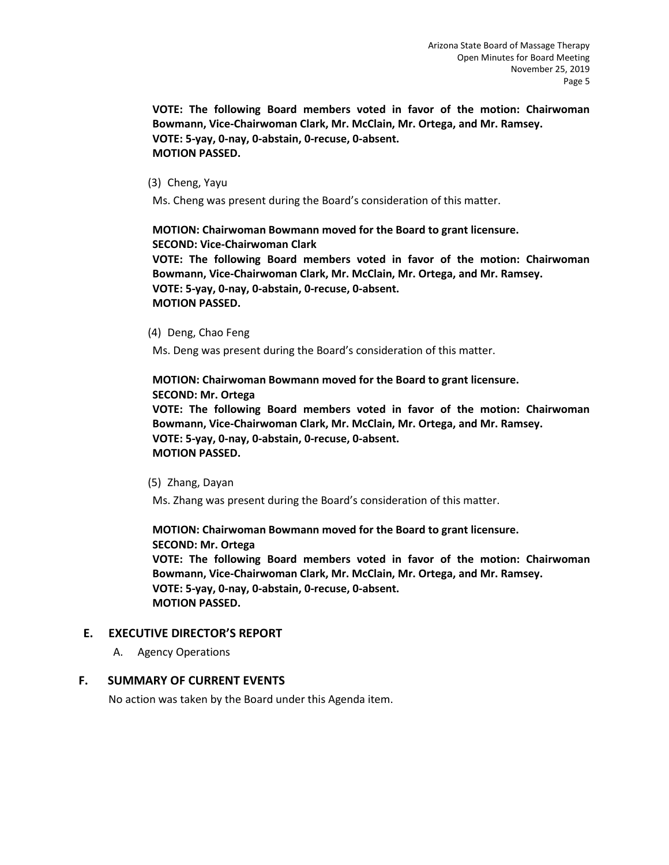**VOTE: The following Board members voted in favor of the motion: Chairwoman Bowmann, Vice-Chairwoman Clark, Mr. McClain, Mr. Ortega, and Mr. Ramsey. VOTE: 5-yay, 0-nay, 0-abstain, 0-recuse, 0-absent. MOTION PASSED.**

(3) Cheng, Yayu

Ms. Cheng was present during the Board's consideration of this matter.

**MOTION: Chairwoman Bowmann moved for the Board to grant licensure. SECOND: Vice-Chairwoman Clark VOTE: The following Board members voted in favor of the motion: Chairwoman Bowmann, Vice-Chairwoman Clark, Mr. McClain, Mr. Ortega, and Mr. Ramsey.**

**VOTE: 5-yay, 0-nay, 0-abstain, 0-recuse, 0-absent. MOTION PASSED.**

(4) Deng, Chao Feng

Ms. Deng was present during the Board's consideration of this matter.

**MOTION: Chairwoman Bowmann moved for the Board to grant licensure. SECOND: Mr. Ortega VOTE: The following Board members voted in favor of the motion: Chairwoman Bowmann, Vice-Chairwoman Clark, Mr. McClain, Mr. Ortega, and Mr. Ramsey. VOTE: 5-yay, 0-nay, 0-abstain, 0-recuse, 0-absent. MOTION PASSED.**

(5) Zhang, Dayan

Ms. Zhang was present during the Board's consideration of this matter.

**MOTION: Chairwoman Bowmann moved for the Board to grant licensure. SECOND: Mr. Ortega VOTE: The following Board members voted in favor of the motion: Chairwoman Bowmann, Vice-Chairwoman Clark, Mr. McClain, Mr. Ortega, and Mr. Ramsey. VOTE: 5-yay, 0-nay, 0-abstain, 0-recuse, 0-absent. MOTION PASSED.**

## **E. EXECUTIVE DIRECTOR'S REPORT**

A. Agency Operations

## **F. SUMMARY OF CURRENT EVENTS**

No action was taken by the Board under this Agenda item.